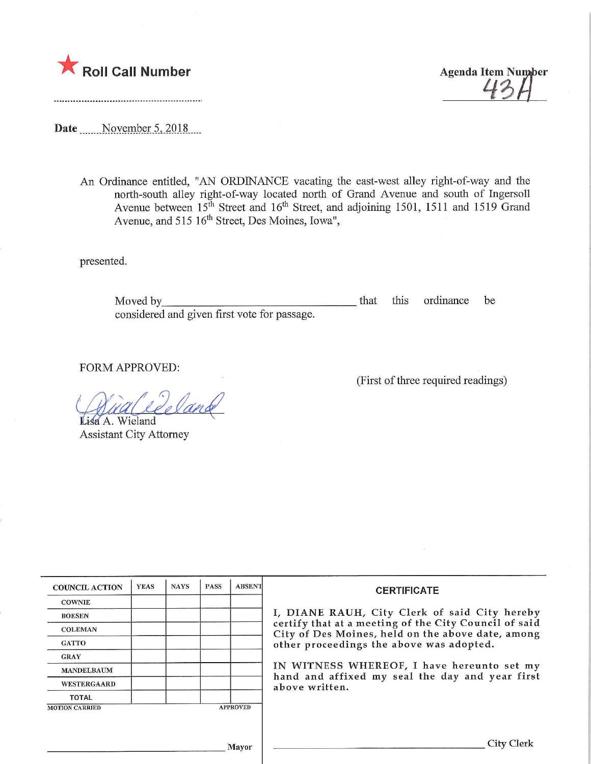

Date \_\_\_\_\_ November 5, 2018....

An Ordinance entitled, "AN ORDINANCE vacating the east-west alley right-of-way and the north-south alley right-of-way located north of Grand Avenue and south of Ingersoll Avenue between  $15<sup>th</sup>$  Street and  $16<sup>th</sup>$  Street, and adjoining 1501, 1511 and 1519 Grand Avenue, and 515 16<sup>th</sup> Street, Des Moines, Iowa",

presented.

Moved by considered and given first vote for passage. that this ordinance be

FORM APPROVED:

(First of three required readings)

 $\mathcal{I}$   $\mathcal{I}$ Y Judiceeld

**Lisa A. Wieland** Assistant City Attorney

| <b>COUNCIL ACTION</b> | <b>YEAS</b> | <b>NAYS</b> | <b>PASS</b> | <b>ABSENT</b>   | <b>CERTIFICATE</b>                                                                                                                        |  |  |
|-----------------------|-------------|-------------|-------------|-----------------|-------------------------------------------------------------------------------------------------------------------------------------------|--|--|
| <b>COWNIE</b>         |             |             |             |                 |                                                                                                                                           |  |  |
| <b>BOESEN</b>         |             |             |             |                 | I, DIANE RAUH, City Clerk of said City hereby                                                                                             |  |  |
| <b>COLEMAN</b>        |             |             |             |                 | certify that at a meeting of the City Council of said<br>City of Des Moines, held on the above date, among                                |  |  |
| <b>GATTO</b>          |             |             |             |                 | other proceedings the above was adopted.<br>IN WITNESS WHEREOF, I have hereunto set my<br>hand and affixed my seal the day and year first |  |  |
| <b>GRAY</b>           |             |             |             |                 |                                                                                                                                           |  |  |
| <b>MANDELBAUM</b>     |             |             |             |                 |                                                                                                                                           |  |  |
| <b>WESTERGAARD</b>    |             |             |             |                 | above written.                                                                                                                            |  |  |
| <b>TOTAL</b>          |             |             |             |                 |                                                                                                                                           |  |  |
| <b>MOTION CARRIED</b> |             |             |             | <b>APPROVED</b> |                                                                                                                                           |  |  |
|                       |             |             |             |                 |                                                                                                                                           |  |  |
|                       |             |             |             |                 |                                                                                                                                           |  |  |
| Mayor                 |             |             |             |                 | <b>City Clerk</b>                                                                                                                         |  |  |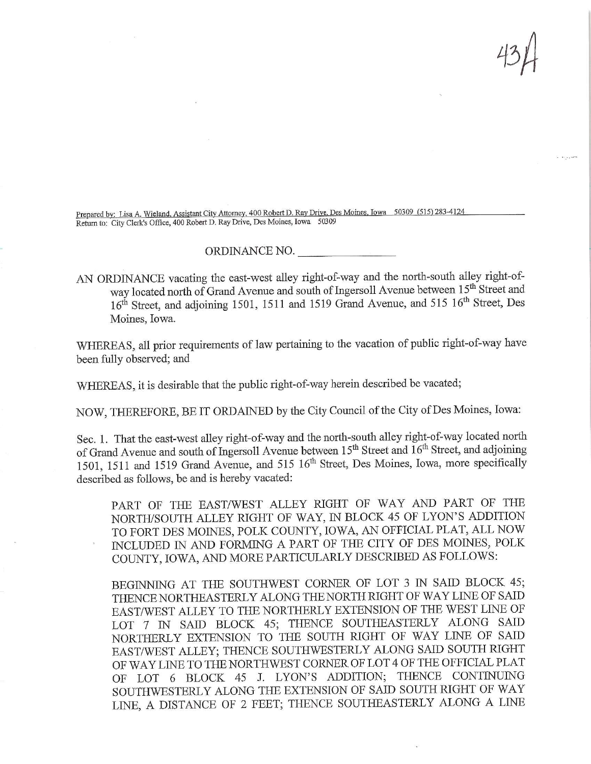Prepared by: Lisa A. Wieland, Assistant City Attorney, 400 Robert D. Ray Drive, Des Moines, Iowa 50309 (515) 283-4124 Return to: City Clerk's Office, 400 Robert D, Ray Drive, Des Moines, Iowa 50309

## ORDINANCE NO.

AN ORDINANCE vacating the east-west alley right-of-way and the north-south alley right-ofway located north of Grand Avenue and south of Ingersoll Avenue between 15<sup>th</sup> Street and 16<sup>th</sup> Street, and adjoining 1501, 1511 and 1519 Grand Avenue, and 515 16<sup>th</sup> Street, Des Moines, Iowa.

WHEREAS, all prior requirements of law pertaining to the vacation of public right-of-way have been fully observed; and

WHEREAS, it is desirable that the public right-of-way herein described be vacated;

NOW, THEREFORE, BE IT ORDAINED by the City Council of the City of Des Moines, Iowa:

Sec. 1. That the east-west alley right-of-way and the north-south alley right-of-way located north of Grand Avenue and south of Ingersoll Avenue between  $15<sup>th</sup>$  Street and  $16<sup>th</sup>$  Street, and adjoining of Grand Avenue and south of ingersoli Avenue between  $15$  Street and 16 Street, and adjoining  $501$ , 1511 and 1519 Grand Avenue, and  $515\,10$  street, Des Moines, Iowa, more specifically described as follows, be and is hereby vacated:

PART OF THE EAST/WEST ALLEY RIGHT OF WAY AND PART OF THE NORTH/SOUTH ALLEY RIGHT OF WAY, IN BLOCK 45 OF LYON'S ADDITION TO FORT DES MOINES, POLK COUNTY, IOWA, AN OFFICIAL PLAT, ALL NOW INCLUDED IN AND FORMING A PART OF THB CITY OF DES MOINES, POLK COUNTY, IOWA, AND MORE PARTICULARLY DESCRIBED AS FOLLOWS:

BEGINNING AT THE SOUTHWEST CORNER OF LOT 3 IN SAID BLOCK 45; THENCE NORTHEASTERLY ALONG THE NORTH RIGHT OF WAY LINE OF SAID EAST/WEST ALLEY TO THE NORTHERLY EXTENSION OF THE WEST LINE OF LOT 7 IN SAID BLOCK 45; THENCE SOUTHEASTERLY ALONG SAID NORTHERLY EXTENSION TO THE SOUTH RIGHT OF WAY LINE OF SAID EAST/WEST ALLEY; THENCE SOUTHWESTERLY ALONG SAID SOUTH RIGHT OF WAY LINE TO THE NORTHWEST CORNER OF LOT 4 OF THE OFFICIAL PLAT OF LOT 6 BLOCK 45 J. LYON'S ADDITION; THENCE CONTINUING SOUTHWESTERLY ALONG THE EXTENSION OF SAID SOUTH RIGHT OF WAY LINE, A DISTANCE OF 2 FEET; THENCE SOUTHEASTERLY ALONG A LINE